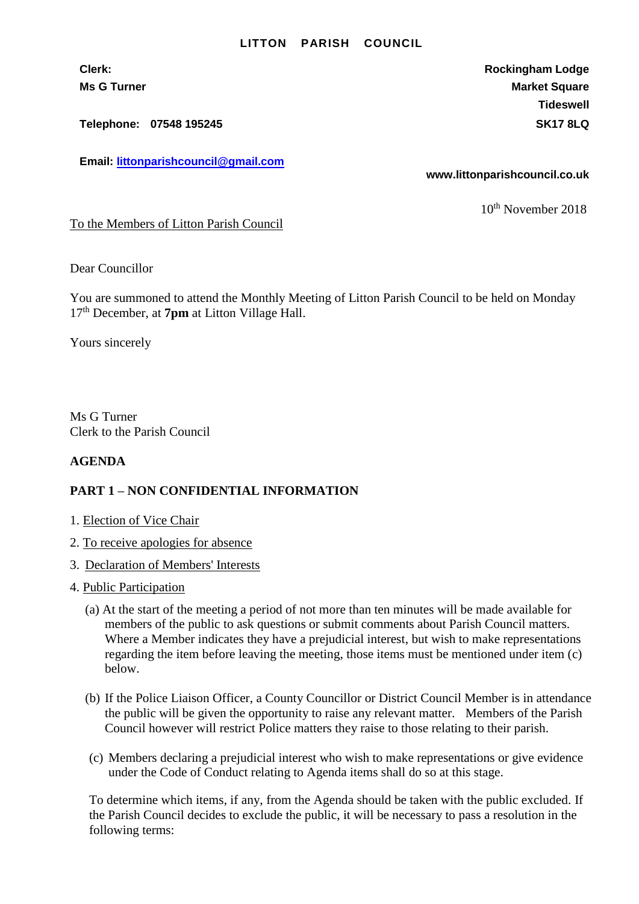## **LITTON PARISH COUNCIL**

**Telephone: 07548 195245 SK17 8LQ**

**Email: [littonparishcouncil@gmail.com](mailto:littonparishcouncil@gmail.com)**

**Clerk: Rockingham Lodge Ms G Turner Market Square** Market Square Market Square **Tideswell**

**www.littonparishcouncil.co.uk**

10<sup>th</sup> November 2018

To the Members of Litton Parish Council

Dear Councillor

You are summoned to attend the Monthly Meeting of Litton Parish Council to be held on Monday 17 th December, at **7pm** at Litton Village Hall.

Yours sincerely

Ms G Turner Clerk to the Parish Council

## **AGENDA**

## **PART 1 – NON CONFIDENTIAL INFORMATION**

- 1. Election of Vice Chair
- 2. To receive apologies for absence
- 3. Declaration of Members' Interests
- 4. Public Participation
	- (a) At the start of the meeting a period of not more than ten minutes will be made available for members of the public to ask questions or submit comments about Parish Council matters. Where a Member indicates they have a prejudicial interest, but wish to make representations regarding the item before leaving the meeting, those items must be mentioned under item (c) below.
	- (b) If the Police Liaison Officer, a County Councillor or District Council Member is in attendance the public will be given the opportunity to raise any relevant matter. Members of the Parish Council however will restrict Police matters they raise to those relating to their parish.
	- (c) Members declaring a prejudicial interest who wish to make representations or give evidence under the Code of Conduct relating to Agenda items shall do so at this stage.

To determine which items, if any, from the Agenda should be taken with the public excluded. If the Parish Council decides to exclude the public, it will be necessary to pass a resolution in the following terms: